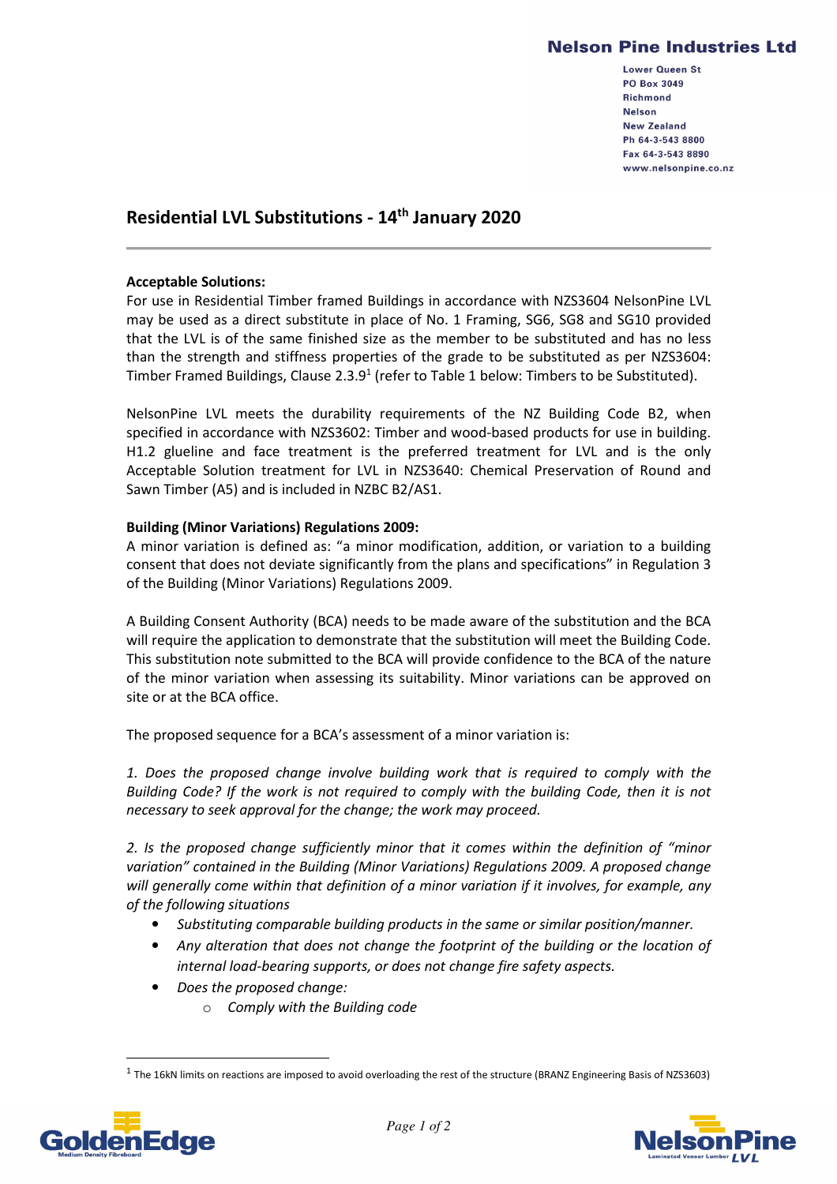## **Nelson Pine Industries Ltd**

Lower Queen St **PO Box 3049 Richmond Nelson New Zealand** Ph 64-3-543 8800 Fax 64-3-543 8890 www.nelsonpine.co.nz

# **Residential LVL Substitutions - 14th January 2020**

#### **Acceptable Solutions:**

For use in Residential Timber framed Buildings in accordance with NZS3604 NelsonPine LVL may be used as a direct substitute in place of No. 1 Framing, SG6, SG8 and SG10 provided that the LVL is of the same finished size as the member to be substituted and has no less than the strength and stiffness properties of the grade to be substituted as per NZS3604: Timber Framed Buildings, Clause  $2.3.9<sup>1</sup>$  (refer to Table 1 below: Timbers to be Substituted).

NelsonPine LVL meets the durability requirements of the NZ Building Code B2, when specified in accordance with NZS3602: Timber and wood-based products for use in building. H1.2 glueline and face treatment is the preferred treatment for LVL and is the only Acceptable Solution treatment for LVL in NZS3640: Chemical Preservation of Round and Sawn Timber (A5) and is included in NZBC B2/AS1.

#### **Building (Minor Variations) Regulations 2009:**

A minor variation is defined as: "a minor modification, addition, or variation to a building consent that does not deviate significantly from the plans and specifications" in Regulation 3 of the Building (Minor Variations) Regulations 2009.

A Building Consent Authority (BCA) needs to be made aware of the substitution and the BCA will require the application to demonstrate that the substitution will meet the Building Code. This substitution note submitted to the BCA will provide confidence to the BCA of the nature of the minor variation when assessing its suitability. Minor variations can be approved on site or at the BCA office.

The proposed sequence for a BCA's assessment of a minor variation is:

*1. Does the proposed change involve building work that is required to comply with the Building Code? If the work is not required to comply with the building Code, then it is not necessary to seek approval for the change; the work may proceed.* 

*2. Is the proposed change sufficiently minor that it comes within the definition of "minor variation" contained in the Building (Minor Variations) Regulations 2009. A proposed change will generally come within that definition of a minor variation if it involves, for example, any of the following situations* 

- *Substituting comparable building products in the same or similar position/manner.*
- *Any alteration that does not change the footprint of the building or the location of internal load-bearing supports, or does not change fire safety aspects.*
- *Does the proposed change:* 
	- o *Comply with the Building code*

 $^1$  The 16kN limits on reactions are imposed to avoid overloading the rest of the structure (BRANZ Engineering Basis of NZS3603)